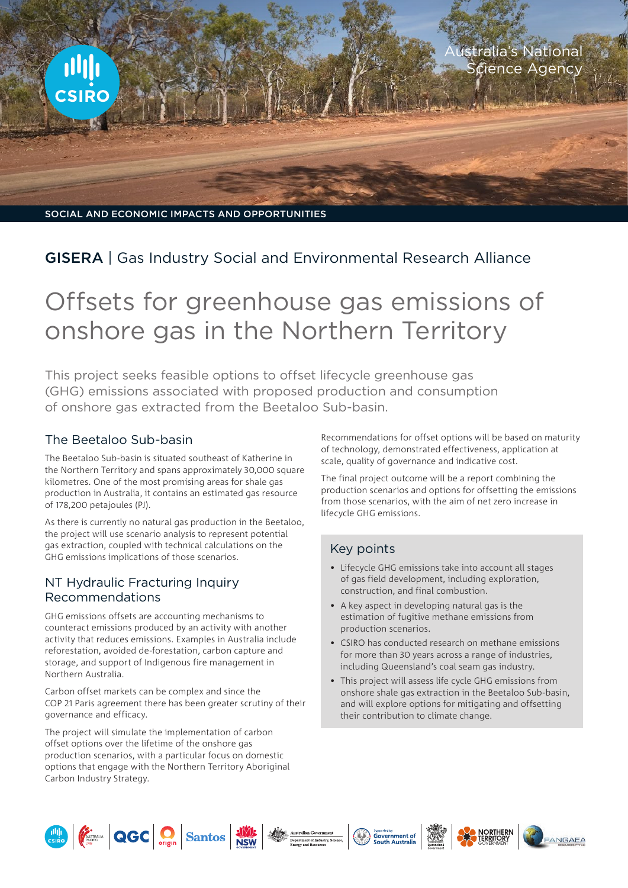

## GISERA | Gas Industry Social and Environmental Research Alliance

# Offsets for greenhouse gas emissions of onshore gas in the Northern Territory

This project seeks feasible options to offset lifecycle greenhouse gas (GHG) emissions associated with proposed production and consumption of onshore gas extracted from the Beetaloo Sub-basin.

#### The Beetaloo Sub-basin

The Beetaloo Sub-basin is situated southeast of Katherine in the Northern Territory and spans approximately 30,000 square kilometres. One of the most promising areas for shale gas production in Australia, it contains an estimated gas resource of 178,200 petajoules (PJ).

As there is currently no natural gas production in the Beetaloo, the project will use scenario analysis to represent potential gas extraction, coupled with technical calculations on the GHG emissions implications of those scenarios.

#### NT Hydraulic Fracturing Inquiry Recommendations

GHG emissions offsets are accounting mechanisms to counteract emissions produced by an activity with another activity that reduces emissions. Examples in Australia include reforestation, avoided de-forestation, carbon capture and storage, and support of Indigenous fire management in Northern Australia.

Carbon offset markets can be complex and since the COP 21 Paris agreement there has been greater scrutiny of their governance and efficacy.

The project will simulate the implementation of carbon offset options over the lifetime of the onshore gas production scenarios, with a particular focus on domestic options that engage with the Northern Territory Aboriginal Carbon Industry Strategy.

Recommendations for offset options will be based on maturity of technology, demonstrated effectiveness, application at scale, quality of governance and indicative cost.

The final project outcome will be a report combining the production scenarios and options for offsetting the emissions from those scenarios, with the aim of net zero increase in lifecycle GHG emissions.

### Key points

- Lifecycle GHG emissions take into account all stages of gas field development, including exploration, construction, and final combustion.
- A key aspect in developing natural gas is the estimation of fugitive methane emissions from production scenarios.
- CSIRO has conducted research on methane emissions for more than 30 years across a range of industries, including Queensland's coal seam gas industry.
- This project will assess life cycle GHG emissions from onshore shale gas extraction in the Beetaloo Sub-basin, and will explore options for mitigating and offsetting their contribution to climate change.